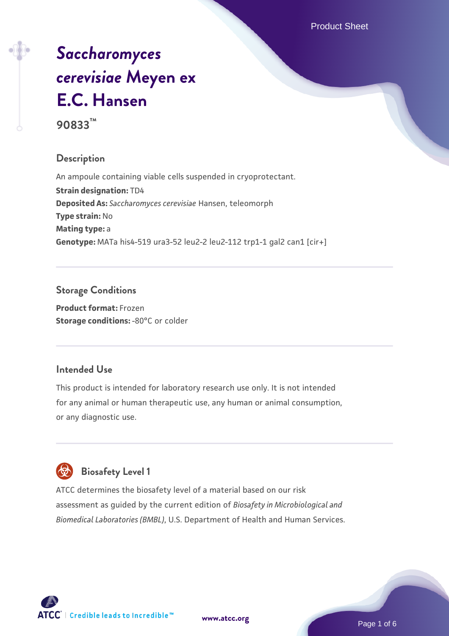Product Sheet

# *[Saccharomyces](https://www.atcc.org/products/90833) [cerevisiae](https://www.atcc.org/products/90833)* **[Meyen ex](https://www.atcc.org/products/90833) [E.C. Hansen](https://www.atcc.org/products/90833)**

**90833™**

# **Description**

An ampoule containing viable cells suspended in cryoprotectant. **Strain designation:** TD4 **Deposited As:** *Saccharomyces cerevisiae* Hansen, teleomorph **Type strain:** No **Mating type:** a **Genotype:** MATa his4-519 ura3-52 leu2-2 leu2-112 trp1-1 gal2 can1 [cir+]

# **Storage Conditions**

**Product format:** Frozen **Storage conditions: -80°C or colder** 

# **Intended Use**

This product is intended for laboratory research use only. It is not intended for any animal or human therapeutic use, any human or animal consumption, or any diagnostic use.

# **Biosafety Level 1**

ATCC determines the biosafety level of a material based on our risk assessment as guided by the current edition of *Biosafety in Microbiological and Biomedical Laboratories (BMBL)*, U.S. Department of Health and Human Services.

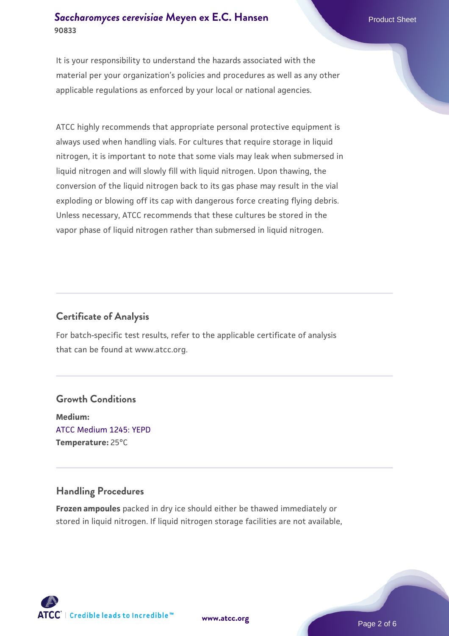#### **[Saccharomyces cerevisiae](https://www.atcc.org/products/90833)** [Meyen ex E.C. Hansen](https://www.atcc.org/products/90833) **90833**

It is your responsibility to understand the hazards associated with the material per your organization's policies and procedures as well as any other applicable regulations as enforced by your local or national agencies.

ATCC highly recommends that appropriate personal protective equipment is always used when handling vials. For cultures that require storage in liquid nitrogen, it is important to note that some vials may leak when submersed in liquid nitrogen and will slowly fill with liquid nitrogen. Upon thawing, the conversion of the liquid nitrogen back to its gas phase may result in the vial exploding or blowing off its cap with dangerous force creating flying debris. Unless necessary, ATCC recommends that these cultures be stored in the vapor phase of liquid nitrogen rather than submersed in liquid nitrogen.

# **Certificate of Analysis**

For batch-specific test results, refer to the applicable certificate of analysis that can be found at www.atcc.org.

# **Growth Conditions**

**Medium:**  [ATCC Medium 1245: YEPD](https://www.atcc.org/-/media/product-assets/documents/microbial-media-formulations/1/2/4/5/atcc-medium-1245.pdf?rev=705ca55d1b6f490a808a965d5c072196) **Temperature:** 25°C

# **Handling Procedures**

**Frozen ampoules** packed in dry ice should either be thawed immediately or stored in liquid nitrogen. If liquid nitrogen storage facilities are not available,

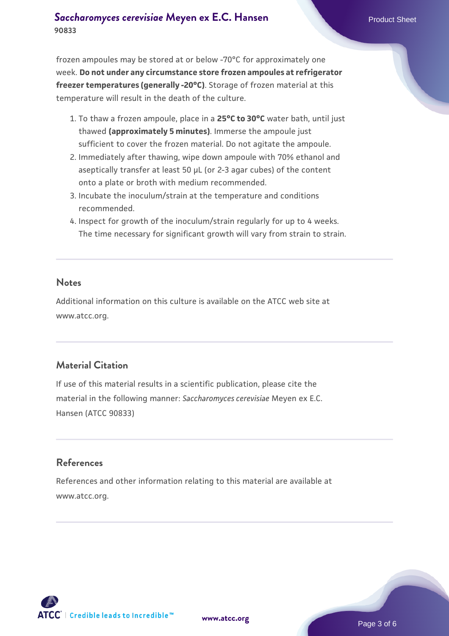#### **[Saccharomyces cerevisiae](https://www.atcc.org/products/90833)** [Meyen ex E.C. Hansen](https://www.atcc.org/products/90833) **90833**

frozen ampoules may be stored at or below -70°C for approximately one week. **Do not under any circumstance store frozen ampoules at refrigerator freezer temperatures (generally -20°C)**. Storage of frozen material at this temperature will result in the death of the culture.

- 1. To thaw a frozen ampoule, place in a **25°C to 30°C** water bath, until just thawed **(approximately 5 minutes)**. Immerse the ampoule just sufficient to cover the frozen material. Do not agitate the ampoule.
- 2. Immediately after thawing, wipe down ampoule with 70% ethanol and aseptically transfer at least 50 µL (or 2-3 agar cubes) of the content onto a plate or broth with medium recommended.
- 3. Incubate the inoculum/strain at the temperature and conditions recommended.
- 4. Inspect for growth of the inoculum/strain regularly for up to 4 weeks. The time necessary for significant growth will vary from strain to strain.

#### **Notes**

Additional information on this culture is available on the ATCC web site at www.atcc.org.

# **Material Citation**

If use of this material results in a scientific publication, please cite the material in the following manner: *Saccharomyces cerevisiae* Meyen ex E.C. Hansen (ATCC 90833)

# **References**

References and other information relating to this material are available at www.atcc.org.

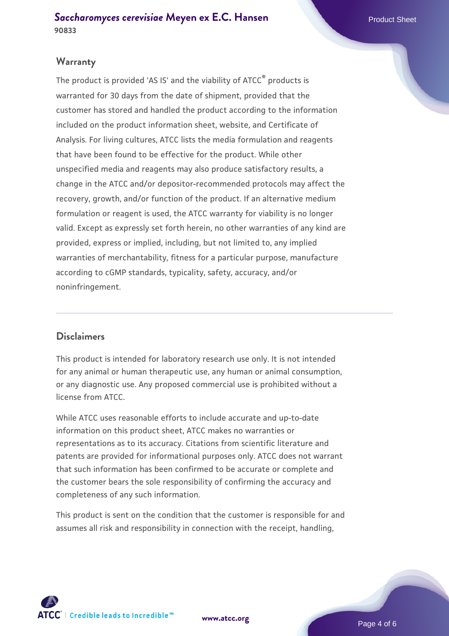#### **Warranty**

The product is provided 'AS IS' and the viability of ATCC® products is warranted for 30 days from the date of shipment, provided that the customer has stored and handled the product according to the information included on the product information sheet, website, and Certificate of Analysis. For living cultures, ATCC lists the media formulation and reagents that have been found to be effective for the product. While other unspecified media and reagents may also produce satisfactory results, a change in the ATCC and/or depositor-recommended protocols may affect the recovery, growth, and/or function of the product. If an alternative medium formulation or reagent is used, the ATCC warranty for viability is no longer valid. Except as expressly set forth herein, no other warranties of any kind are provided, express or implied, including, but not limited to, any implied warranties of merchantability, fitness for a particular purpose, manufacture according to cGMP standards, typicality, safety, accuracy, and/or noninfringement.

#### **Disclaimers**

This product is intended for laboratory research use only. It is not intended for any animal or human therapeutic use, any human or animal consumption, or any diagnostic use. Any proposed commercial use is prohibited without a license from ATCC.

While ATCC uses reasonable efforts to include accurate and up-to-date information on this product sheet, ATCC makes no warranties or representations as to its accuracy. Citations from scientific literature and patents are provided for informational purposes only. ATCC does not warrant that such information has been confirmed to be accurate or complete and the customer bears the sole responsibility of confirming the accuracy and completeness of any such information.

This product is sent on the condition that the customer is responsible for and assumes all risk and responsibility in connection with the receipt, handling,



**[www.atcc.org](http://www.atcc.org)**

Page 4 of 6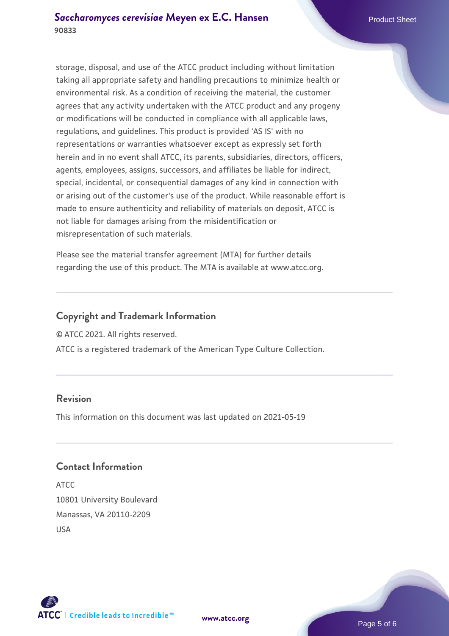storage, disposal, and use of the ATCC product including without limitation taking all appropriate safety and handling precautions to minimize health or environmental risk. As a condition of receiving the material, the customer agrees that any activity undertaken with the ATCC product and any progeny or modifications will be conducted in compliance with all applicable laws, regulations, and guidelines. This product is provided 'AS IS' with no representations or warranties whatsoever except as expressly set forth herein and in no event shall ATCC, its parents, subsidiaries, directors, officers, agents, employees, assigns, successors, and affiliates be liable for indirect, special, incidental, or consequential damages of any kind in connection with or arising out of the customer's use of the product. While reasonable effort is made to ensure authenticity and reliability of materials on deposit, ATCC is not liable for damages arising from the misidentification or misrepresentation of such materials.

Please see the material transfer agreement (MTA) for further details regarding the use of this product. The MTA is available at www.atcc.org.

#### **Copyright and Trademark Information**

© ATCC 2021. All rights reserved.

ATCC is a registered trademark of the American Type Culture Collection.

#### **Revision**

This information on this document was last updated on 2021-05-19

#### **Contact Information**

ATCC 10801 University Boulevard Manassas, VA 20110-2209 USA